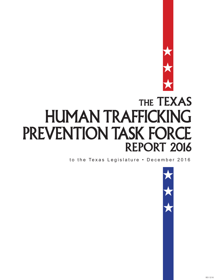

# THE TEXAS HUMAN TRAFFICKING PREVENTION TASK FORCE REPORT 2016

to the Texas Legislature • December 2016

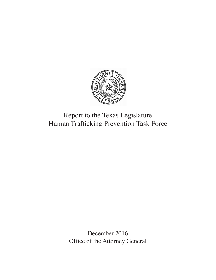

## Report to the Texas Legislature Human Trafficking Prevention Task Force

December 2016 Office of the Attorney General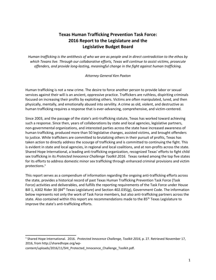## **Texas Human Trafficking Prevention Task Force: 2016 Report to the Legislature and the Legislative Budget Board**

*Human trafficking is the antithesis of who we are as people and in direct contradiction to the ethos by which Texans live. Through our collaborative efforts, Texas will continue to assist victims, prosecute offenders, and provide long-lasting, meaningful change in the fight against human trafficking.* 

#### *Attorney General Ken Paxton*

Human trafficking is not a new crime. The desire to force another person to provide labor or sexual services against their will is an ancient, oppressive practice. Traffickers are ruthless, dispiriting criminals focused on increasing their profits by exploiting others. Victims are often manipulated, lured, and then physically, mentally, and emotionally abused into servility. A crime as old, violent, and destructive as human trafficking requires a response that is ever-advancing, comprehensive, and victim-centered.

Since 2003, and the passage of the state's anti-trafficking statute, Texas has worked toward achieving such a response. Since then, years of collaborations by state and local agencies, legislative partners, non-governmental organizations, and interested parties across the state have increased awareness of human trafficking, produced more than 50 legislative changes, assisted victims, and brought offenders to justice. While traffickers are committed to brutalizing others in their pursuit of profits, Texas has taken action to directly address the scourge of trafficking and is committed to continuing the fight. This is evident in state and local agencies, in regional and local coalitions, and at non-profits across the state. Shared Hope International, a leading anti-trafficking organization, recognized Texas' efforts to fight child sex trafficking in its *Protected Innocence Challenge Toolkit 2016.* Texas ranked among the top five states for its efforts to address domestic minor sex trafficking through enhanced criminal provisions and victim protections.<sup>1</sup>

This report serves as a compendium of information regarding the ongoing anti-trafficking efforts across the state, provides a historical record of past Texas Human Trafficking Prevention Task Force (Task Force) activities and deliverables, and fulfills the reporting requirements of the Task Force under House Bill 1, A302 Rider 30 (84<sup>th</sup> Texas Legislature) and Section 402.035(g), Government Code. The information below represents not only the work of Task Force members, but also anti-trafficking partners across the state. Also contained within this report are recommendations made to the 85<sup>th</sup> Texas Legislature to improve the state's anti-trafficking efforts.

<sup>1</sup> Shared Hope International. 2016. *Protected Innocence Challenge, Toolkit 2016*, p. 27. Retrieved November 17, 2016, from http://sharedhope.org/wp-

content/uploads/2016/11/SHI\_Protected\_Innocence\_Challenge\_Toolkit.pdf.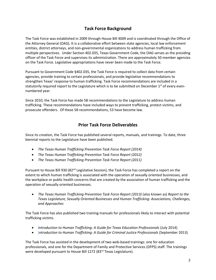## **Task Force Background**

The Task Force was established in 2009 through House Bill 4009 and is coordinated through the Office of the Attorney General (OAG). It is a collaborative effort between state agencies, local law enforcement entities, district attorneys, and non-governmental organizations to address human trafficking from multiple perspectives. Under Section 402.035, Texas Government Code, the OAG serves as the presiding officer of the Task Force and supervises its administration. There are approximately 50 member agencies on the Task Force. Legislative appropriations have never been made to the Task Force.

Pursuant to Government Code §402.035, the Task Force is required to collect data from certain agencies, provide training to certain professionals, and provide legislative recommendations to strengthen Texas' response to human trafficking. Task Force recommendations are included in a statutorily required report to the Legislature which is to be submitted on December 1<sup>st</sup> of every evennumbered year.

Since 2010, the Task Force has made 58 recommendations to the Legislature to address human trafficking. These recommendations have included ways to prevent trafficking, protect victims, and prosecute offenders. Of these 58 recommendations, 53 have become law.

## **Prior Task Force Deliverables**

Since its creation, the Task Force has published several reports, manuals, and trainings. To date, three biennial reports to the Legislature have been published.

- *The Texas Human Trafficking Prevention Task Force Report (2014)*
- *The Texas Human Trafficking Prevention Task Force Report (2012)*
- *The Texas Human Trafficking Prevention Task Force Report (2011)*

Pursuant to House Bill 930 (82 $<sup>nd</sup>$  Legislative Session), the Task Force has completed a report on the</sup> extent to which human trafficking is associated with the operation of sexually oriented businesses, and the workplace or public health concerns that are created by the association of human trafficking and the operation of sexually oriented businesses.

 *The Texas Human Trafficking Prevention Task Force Report (2013)* (also known as) *Report to the Texas Legislature, Sexually Oriented Businesses and Human Trafficking: Associations, Challenges, and Approaches* 

The Task Force has also published two training manuals for professionals likely to interact with potential trafficking victims.

- *Introduction to Human Trafficking: A Guide for Texas Education Professionals* (July 2014)
- I*ntroduction to Human Trafficking: A Guide for Criminal Justice Professionals* (September 2013)

The Task Force has assisted in the development of two web-based trainings: one for education professionals, and one for the Department of Family and Protective Services (DFPS) staff. The trainings were developed pursuant to House Bill 1272 (83rd Texas Legislature).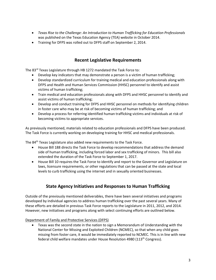- *Texas Rise to the Challenge: An Introduction to Human Trafficking for Education Professionals* was published on the Texas Education Agency (TEA) website in October 2014.
- Training for DFPS was rolled out to DFPS staff on September 2, 2014.

## **Recent Legislative Requirements**

The 83<sup>rd</sup> Texas Legislature through HB 1272 mandated the Task Force to:

- Develop key indicators that may demonstrate a person is a victim of human trafficking;
- Develop standardized curriculum for training medical and education professionals along with DFPS and Health and Human Services Commission (HHSC) personnel to identify and assist victims of human trafficking;
- Train medical and education professionals along with DFPS and HHSC personnel to identify and assist victims of human trafficking;
- Develop and conduct training for DFPS and HHSC personnel on methods for identifying children in foster care who may be at risk of becoming victims of human trafficking; and
- Develop a process for referring identified human trafficking victims and individuals at risk of becoming victims to appropriate services.

As previously mentioned, materials related to education professionals and DFPS have been produced. The Task Force is currently working on developing training for HHSC and medical professionals.

The 84<sup>th</sup> Texas Legislature also added new requirements to the Task Force.

- House Bill 188 directs the Task Force to develop recommendations that address the demand side of human trafficking, including forced labor and sex trafficking of minors. This bill also extended the duration of the Task Force to September 1, 2017.
- House Bill 10 requires the Task Force to identify and report to the Governor and Legislature on laws, licensure requirements, or other regulations that can be passed at the state and local levels to curb trafficking using the internet and in sexually oriented businesses.

## **State Agency Initiatives and Responses to Human Trafficking**

Outside of the previously mentioned deliverables, there have been several initiatives and programs developed by individual agencies to address human trafficking over the past several years. Many of these efforts are detailed in previous Task Force reports to the Legislature in 2011, 2012, and 2014. However, new initiatives and programs along with select continuing efforts are outlined below.

#### Department of Family and Protective Services (DFPS)

 Texas was the second state in the nation to sign a Memorandum of Understanding with the National Center for Missing and Exploited Children (NCMEC), so that when any child goes missing from foster care, it would be immediately reported to NCMEC. This is in line with new federal child welfare mandates under House Resolution 4980 (113<sup>th</sup> Congress).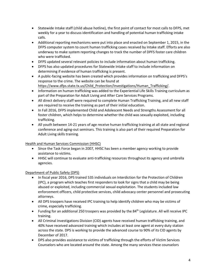- Statewide Intake staff (child abuse hotline), the first point of contact for most calls to DFPS, met weekly for a year to discuss identification and handling of potential human trafficking intake calls.
- Additional reporting mechanisms were put into place and enacted on September 1, 2015, in the DFPS computer system to count human trafficking cases received by Intake staff. Efforts are also underway to make system reporting changes to track the number of DPFS foster care children who were trafficked.
- DFPS updated several relevant policies to include information about human trafficking.
- DFPS has also updated procedures for Statewide Intake staff to include information on determining if evidence of human trafficking is present.
- A public-facing website has been created which provides information on trafficking and DFPS's response to the crime. The website can be found at https://www.dfps.state.tx.us/Child\_Protection/Investigations/Human\_Trafficking/.
- Information on human trafficking was added to the Experiential Life Skills Training curriculum as part of the Preparation for Adult Living and After Care Services Programs.
- All direct delivery staff were required to complete Human Trafficking Training, and all new staff are required to receive the training as part of their initial education.
- In Fall 2016, DFPS implemented Child and Adolescent Needs and Strengths Assessment for all foster children, which helps to determine whether the child was sexually exploited, including trafficking.
- All youth between 14-21 years of age receive human trafficking training at all state and regional conference and aging-out seminars. This training is also part of their required Preparation for Adult Living skills training.

#### Health and Human Services Commission (HHSC)

- Since the Task Force began in 2007, HHSC has been a member agency working to provide assistance to victims.
- HHSC will continue to evaluate anti-trafficking resources throughout its agency and umbrella agencies.

#### Department of Public Safety (DPS)

- In fiscal year 2016, DPS trained 535 individuals on Interdiction for the Protection of Children (IPC), a program which teaches first responders to look for signs that a child may be being abused or exploited, including commercial sexual exploitation. The students included law enforcement officers, child protective services, child advocacy center personnel and prosecuting attorneys.
- All DPS troopers have received IPC training to help identify children who may be victims of crime, especially trafficking.
- Funding for an additional 250 troopers was provided by the  $84<sup>th</sup>$  Legislature. All will receive IPC training.
- All Criminal Investigations Division (CID) agents have received human trafficking training, and 40% have received advanced training which includes at least one agent at every duty station across the state. DPS is working to provide the advanced course to 90% of its CID agents by December of 2017.
- DPS also provides assistance to victims of trafficking through the efforts of Victim Services Counselors who are located around the state. Among the many services these counselors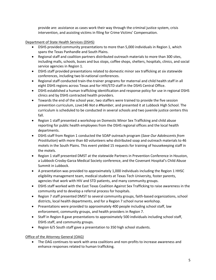provide are: assistance as cases work their way through the criminal justice system, crisis intervention, and assisting victims in filing for Crime Victims' Compensation.

#### Department of State Health Services (DSHS)

- DSHS provided community presentations to more than 5,000 individuals in Region 1, which spans the Texas Panhandle and South Plains.
- Regional staff and coalition partners distributed outreach materials to more than 300 sites, including malls, schools, buses and bus stops, coffee shops, shelters, hospitals, clinics, and social service agencies in Region 1.
- DSHS staff provided presentations related to domestic minor sex trafficking at six statewide conferences, including two bi-national conferences.
- Regional staff conducted train-the-trainer programs for maternal and child health staff in all eight DSHS regions across Texas and for HIV/STD staff in the DSHS Central Office.
- DSHS established a human trafficking identification and response policy for use in regional DSHS clinics and by DSHS contracted health providers.
- Towards the end of the school year, two staffers were trained to provide the five session prevention curriculum, *Love146 Not a #Number*, and presented it at Lubbock High School. The curriculum is scheduled to be conducted in several schools and two juvenile justice centers this fall.
- Region 1 staff presented a workshop on Domestic Minor Sex Trafficking and child abuse reporting for public health employees from the DSHS regional offices and the local health departments.
- DSHS staff from Region 1 conducted the SOAP outreach program (*Save Our Adolescents from Prostitution*) with more than 60 volunteers who distributed soap and outreach materials to 46 motels in the South Plains. This event yielded 15 requests for training of housekeeping staff in the motels.
- Region 1 staff presented DMST at the statewide Partners in Prevention Conference in Houston, a Lubbock-Crosby-Garza Medical Society conference, and the Covenant Hospital's Child Abuse Summit in Lubbock.
- A presentation was provided to approximately 1,000 individuals including the Region 1 HHSC eligibility management team, medical students at Texas Tech University, foster parents, agencies that work with HIV and STD patients, and many community groups.
- DSHS staff worked with the East Texas Coalition Against Sex Trafficking to raise awareness in the community and to develop a referral process for hospitals.
- Region 7 staff presented DMST to several community groups, faith-based organizations, school districts, local health departments, and for a Region 7 school nurse workshop.
- Presentations were provided to approximately 400 people including school staff, law enforcement, community groups, and health providers in Region 7.
- Staff in Region 8 gave presentations to approximately 500 individuals including school staff, DSHS staff, and community groups.
- Region 6/5 South staff gave a presentation to 350 high school students.

#### Office of the Attorney General (OAG)

 The OAG continues to work with area coalitions and non-profits to increase awareness and enhance responses related to human trafficking.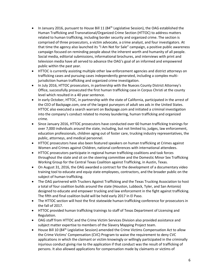- $\bullet$  In January 2016, pursuant to House Bill 11 (84<sup>th</sup> Legislative Session), the OAG established the Human Trafficking and Transnational/Organized Crime Section (HTTOC) to address matters related to human trafficking, including border security and organized crime. The section is comprised of three prosecutors, a victim advocate, a crime analyst, and four investigators. At that time the agency also launched its "I Am Not for Sale" campaign, a positive public awareness campaign focused on reminding people about the inherent worth and humanity of all people. Social media, editorial submissions, informational brochures, and interviews with print and television media have all served to advance the OAG's goal of an informed and empowered public within the past year.
- HTTOC is currently assisting multiple other law enforcement agencies and district attorneys on trafficking cases and pursuing cases independently generated, including a complex multijurisdiction human trafficking and organized crime investigation.
- In July 2016, HTTOC prosecutors, in partnership with the Nueces County District Attorney's Office, successfully prosecuted the first human trafficking case in Corpus Christi at the county level which resulted in a 40 year sentence.
- In early October, HTTOC, in partnership with the state of California, participated in the arrest of the CEO of Backpage.com, one of the largest purveyors of adult sex ads in the United States. HTTOC also executed a search warrant on Backpage.com and initiated a criminal investigation into the company's conduct related to money laundering, human trafficking and organized crime.
- Since January 2016, HTTOC prosecutors have conducted over 60 human trafficking trainings for over 7,000 individuals around the state, including, but not limited to, judges, law enforcement, education professionals, children aging out of foster care, trucking industry representatives, the public, attorneys, and medical personnel.
- HTTOC prosecutors have also been featured speakers on human trafficking at Crimes against Women and Crimes against Children, national conferences with international attendees.
- HTTOC prosecutors participate in regional human trafficking coalitions and task forces throughout the state and sit on the steering committee and the Domestic Minor Sex Trafficking Working Group for the Central Texas Coalition against Trafficking, in Austin, Texas.
- On August 31, 2016, the OAG awarded a contract for the development of a documentary video training tool to educate and equip state employees, contractors, and the broader public on the subject of human trafficking.
- The OAG partnered with Truckers Against Trafficking and the Texas Trucking Association to host a total of four coalition builds around the state (Houston, Lubbock, Tyler, and San Antonio) designed to educate and empower trucking and law enforcement in the fight against trafficking. The fifth and final coalition build will be held early 2017 in El Paso.
- The HTTOC section will host the first statewide human trafficking conference for prosecutors in the fall of 2017.
- HTTOC provided human trafficking trainings to staff of Texas Department of Licensing and Regulation.
- OAG staff from HTTOC and the Crime Victim Services Division also provided assistance and subject matter expertise to members of the Slavery Mapping Project team.
- House Bill 10 (84<sup>th</sup> Legislative Session) amended the Crime Victims Compensation Act to allow the Crime Victims' Compensation (CVC) Program to waive the requirement to deny CVC applications in which the claimant or victim knowingly or willingly participated in the criminally injurious conduct giving rise to the application if that conduct was the result of trafficking of persons. It also allowed applications for compensation made by claimants or victims of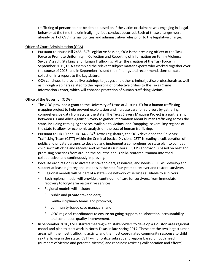trafficking of persons to not be denied based on if the victim or claimant was engaging in illegal behavior at the time the criminally injurious conduct occurred. Both of these changes were already part of CVC internal policies and administrative rules prior to the legislative change.

#### Office of Court Administration (OCA)

- Pursuant to House Bill 2455, 84<sup>th</sup> Legislative Session, OCA is the presiding officer of the Task Force to Promote Uniformity in Collection and Reporting of Information on Family Violence, Sexual Assault, Stalking, and Human Trafficking. After the creation of the Task Force in September 2015, OCA assembled the relevant subject matter experts who worked together over the course of 2016, and in September, issued their findings and recommendations on data collection in a report to the Legislature.
- OCA continues to provide live trainings to judges and other criminal justice professionals as well as through webinars related to the reporting of protective orders to the Texas Crime Information Center, which will enhance protection of human trafficking victims.

#### Office of the Governor (OOG)

- The OOG provided a grant to the University of Texas at Austin (UT) for a human trafficking mapping project to help prevent exploitation and increase care for survivors by gathering comprehensive data from across the state. The Texas Slavery Mapping Project is a partnership between UT and Allies Against Slavery to gather information about human trafficking across the state, including cataloging services available to victims, and "mapping" several key regions of the state to allow for economic analysis on the cost of human trafficking.
- Pursuant to HB 10 and HB 1446, 84<sup>th</sup> Texas Legislature, the OOG developed the Child Sex Trafficking Team (CSTT) within the Criminal Justice Division. CSTT is leading a collaboration of public and private partners to develop and implement a comprehensive state plan to combat child sex trafficking and recover and restore its survivors. CSTT's approach is based on best and promising practices from around the country, and is child-centered, trauma-informed, collaborative, and continuously improving.
- Because each region is so diverse in stakeholders, resources, and needs, CSTT will develop and support at least eight regional models in the next four years to recover and restore survivors.
	- Regional models will be part of a statewide network of services available to survivors.
	- Each regional model will provide a continuum of care for survivors, from immediate recovery to long-term restorative services.
	- Regional models will include:
		- public and private stakeholders;
		- multi-disciplinary teams and protocols;
		- community-based case managers; and
		- OOG regional coordinators to ensure on-going support, collaboration, accountability, and continuous quality improvement.
- In September 2016, CSTT started meeting with stakeholders to develop a Houston area regional model and plan to start work in North Texas in late spring 2017. These are the two largest urban areas with the most trafficking activity and the most coordinated community response to child sex trafficking in the state. CSTT will prioritize subsequent regions based on both need (numbers of victims and potential victims) and readiness (existing collaboration and efforts).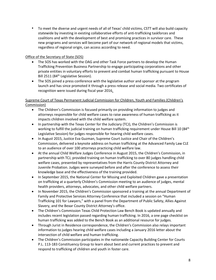• To meet the diverse and urgent needs of all of Texas' child victims, CSTT will also build capacity statewide by investing in existing collaborative efforts of anti-trafficking taskforces and coalitions and with the development of best and promising practices in survivor care. These new programs and services will become part of our network of regional models that victims, regardless of regional origin, can access according to need.

#### Office of the Secretary of State (SOS)

- The SOS has worked with the OAG and other Task Force partners to develop the Human Trafficking Prevention Business Partnership to engage participating corporations and other private entities in voluntary efforts to prevent and combat human trafficking pursuant to House Bill 2511 (84<sup>th</sup> Legislative Session).
- The SOS joined a press conference with the legislative author and sponsor at the program launch and has since promoted it through a press release and social media. Two certificates of recognition were issued during fiscal year 2016.

#### Supreme Court of Texas Permanent Judicial Commission for Children, Youth and Families (Children's Commission)

- The Children's Commission is focused primarily on providing information to judges and attorneys responsible for child welfare cases to raise awareness of human trafficking as it impacts children involved with the child welfare system.
- In partnership with the Texas Center for the Judiciary (TCJ), the Children's Commission is working to fulfill the judicial training on human trafficking requirement under House Bill 10 (84<sup>th</sup>) Legislative Session) for judges responsible for hearing child welfare cases.
- In August 2015, Justice Eva Guzman, Supreme Court Justice and Chair of the Children's Commission, delivered a keynote address on human trafficking at the Advanced Family Law CLE to an audience of over 100 attorneys practicing child welfare law.
- At the annual Child Welfare Judges Conference in August 2015, the Children's Commission, in partnership with TCJ, provided training on human trafficking to over 80 judges handling child welfare cases, presented by representatives from the Harris County District Attorney and Juvenile Probation. Judges were surveyed before and after the conference to assess their knowledge base and the effectiveness of the training provided.
- In September 2015, the National Center for Missing and Exploited Children gave a presentation on trafficking at a quarterly Children's Commission meeting to an audience of judges, mental health providers, attorneys, advocates, and other child welfare partners.
- In November 2015, the Children's Commission sponsored a training at the annual Department of Family and Protective Services Attorney Conference that included a session on "Human Trafficking 101 for Lawyers," with a panel from the Department of Public Safety, Allies Against Slavery, and the Bexar County District Attorney's office.
- The Children's Commission Texas Child Protection Law Bench Book is updated annually and includes recent legislation passed regarding human trafficking. In 2016, a one page checklist on human trafficking was added to the Bench Book as an additional resource for judges.
- Through Jurist in Residence correspondence, the Children's Commission also relays important information to judges hearing child welfare cases including a January 2016 letter about the intersection of child welfare and human trafficking.
- The Children's Commission participates in the nationwide Capacity Building Center for Courts P.L. 113-183 Constituency Group to learn about best and current practices to prevent and respond to trafficking of children and youth in foster care.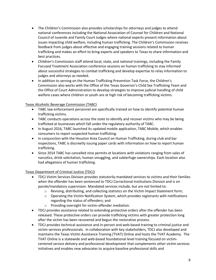- The Children's Commission also provides scholarships for attorneys and judges to attend national conferences including the National Association of Counsel for Children and National Council of Juvenile and Family Court Judges where national experts present information about issues impacting child welfare, including human trafficking. The Children's Commission receives feedback from judges about effective and engaging training sessions related to human trafficking and makes an effort to bring experts and speakers to Texas to share information and best practices.
- Children's Commission staff attend local, state, and national trainings, including the Family Focused Treatment Association conference sessions on human trafficking to stay informed about successful strategies to combat trafficking and develop expertise to relay information to judges and attorneys as needed.
- In addition to serving on the Human Trafficking Prevention Task Force, the Children's Commission also works with the Office of the Texas Governor's Child Sex Trafficking Team and the Office of Court Administration to develop strategies to improve judicial handling of child welfare cases where children or youth are at high risk of becoming trafficking victims.

#### Texas Alcoholic Beverage Commission (TABC)

- TABC law enforcement personnel are specifically trained on how to identify potential human trafficking victims.
- TABC conducts operations across the state to identify and recover victims who may be being trafficked at businesses which fall under the regulatory authority of TABC.
- In August 2016, TABC launched its updated mobile application, TABC Mobile, which enables consumers to report suspected human trafficking.
- In conjunction with the Houston Area Council on Human Trafficking, during club and bar inspections, TABC is discreetly issuing paper cards with information on how to report human trafficking.
- Since 2014 TABC has cancelled nine permits at locations with violations ranging from sales of narcotics, drink solicitation, human smuggling, and subterfuge ownerships. Each location also had allegations of human trafficking.

#### Texas Department of Criminal Justice (TDCJ)

- TDCJ Victim Services Division provides statutorily-mandated services to victims and their families when the offender has been sentenced to TDCJ Correctional Institutions Division and is on parole/mandatory supervision. Mandated services include, but are not limited to:
	- $\circ$  Revising, distributing, and collecting statistics on the Victim Impact Statement form;
	- $\circ$  Operating the Victim Notification System, which provides registrants with notifications regarding the status of offenders; and
	- o Providing oversight for victim-offender mediation.
- TDCJ provides assistance related to extending protective orders after the offender has been released. These protective orders can provide trafficking victims with greater protection long after the victim has been recovered and begun the restorative process.
- TDCJ provides technical assistance and in-person and web-based training to criminal justice and victim services professionals. In collaboration with key stakeholders, TDCJ also developed and maintains the Texas Victim Assistance Training (TVAT) Online and hosts the TVAT Academy. The TVAT Online is a statewide and web-based foundational level training focused on victimcentered service delivery and professional development that complements other victim services initiatives and enables new advocates to acquire baseline professional skills and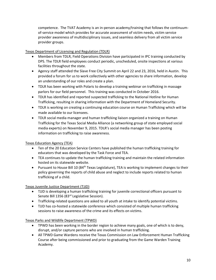competence. The TVAT Academy is an in-person academy/training that follows the continuumof-service model which provides for accurate assessment of victim needs, victim service provider awareness of multidisciplinary issues, and seamless delivery from all victim service provider groups.

#### Texas Department of Licensing and Regulation (TDLR)

- Members from TDLR, Field Operations Division have participated in IPC training conducted by DPS. The TDLR field employees conduct periodic, unscheduled, onsite inspections at various facilities throughout the state.
- Agency staff attended the Slave Free City Summit on April 22 and 23, 2016, held in Austin. This provided a forum for us to work collectively with other agencies to share information, develop an understanding of our roles and create a plan.
- TDLR has been working with Polaris to develop a training webinar on trafficking in massage parlors for our field personnel. This training was conducted in October 2016.
- TDLR has identified and reported suspected trafficking to the National Hotline for Human Trafficking, resulting in sharing information with the Department of Homeland Security.
- TDLR is working on creating a continuing education course on Human Trafficking which will be made available to our licensees.
- TDLR social media manager and human trafficking liaison organized a training on Human Trafficking for the Texas Social Media Alliance (a networking group of state employed social media experts) on November 9, 2015. TDLR's social media manager has been posting information on trafficking to raise awareness.

#### Texas Education Agency (TEA)

- Ten of the 20 Education Service Centers have published the human trafficking training for educators that was developed by the Task Force and TEA.
- TEA continues to update the human trafficking training and maintain the related information hosted on its statewide website.
- Pursuant to House Bill 10 (84<sup>th</sup> Texas Legislature), TEA is working to implement changes to their policy governing the reports of child abuse and neglect to include reports related to human trafficking of a child.

#### Texas Juvenile Justice Department (TJJD)

- TJJD is developing a human trafficking training for juvenile correctional officers pursuant to Senate Bill 1356 (83<sup>rd</sup> Legislative Session).
- Trafficking-related questions are asked to all youth at intake to identify potential victims.
- TJJD has co-hosted a statewide conference which consisted of multiple human trafficking sessions to raise awareness of the crime and its effects on victims.

#### Texas Parks and Wildlife Department (TPWD)

- TPWD has been working in the border region to achieve many goals, one of which is to deny, disrupt, and/or capture persons who are involved in human trafficking.
- All TPWD Game Wardens receive the Texas Commission on Law Enforcement Human Trafficking Course after being commissioned and prior to graduating from the Game Warden Training Academy.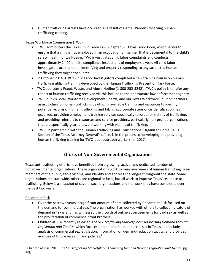Human trafficking arrests have occurred as a result of Game Wardens receiving human trafficking training.

#### Texas Workforce Commission (TWC)

- TWC administers the Texas Child Labor Law, Chapter 51, Texas Labor Code, which serves to ensure that a child is not employed in an occupation or manner that is detrimental to the child's safety, health, or well-being. TWC investigates child labor complaints and conducts approximately 2,400 on-site compliance inspections of employers a year. All child labor investigators are trained in identifying and properly responding to any suspected human trafficking they might encounter.
- In October 2014, TWC's Child Labor Investigators completed a new training course on human trafficking utilizing training developed by the Human Trafficking Prevention Task Force.
- TWC operates a Fraud, Waste, and Abuse Hotline (1-800-252-3242). TWC's policy is to refer any report of human trafficking received via this hotline to the appropriate law enforcement agency.
- TWC, our 28 Local Workforce Development Boards, and our Texas Workforce Solution partners assist victims of human trafficking by utilizing available training and resources to identify potential victims of human trafficking and taking appropriate steps once identification has occurred; providing employment training services specifically tailored for victims of trafficking; and providing referrals to resources and service providers, particularly non-profit organizations that are specifically geared toward working with victims of trafficking.
- TWC, in partnership with the Human Trafficking and Transnational Organized Crime (HTTOC) Section of the Texas Attorney General's office, is in the process of developing and providing human trafficking training for TWC labor outreach workers for 2017.

## **Efforts of Non-Governmental Organizations**

Texas anti-trafficking efforts have benefited from a growing, active, and dedicated number of nongovernmental organizations. These organizations work to raise awareness of human trafficking, train members of the public, serve victims, and identify and address challenges throughout the state. Some organizations are statewide, others are regional or local, but all work to improve Texas' response to trafficking. Below is a snapshot of several such organizations and the work they have completed over the past two years.

#### Children at Risk

- Over the past two years, a significant amount of data collected by Children at Risk focused on the demand for commercial sex. The organization has worked with others to collect indicators of demand in Texas and has witnessed the growth of online advertisements for paid sex as well as the proliferation of commercial front brothels.
- Children at Risk recently released *The Sex Trafficking Marketplace: Addressing Demand through Legislation and Tactics*, which focuses on demand for commercial sex in Texas and includes analysis of commercial sex legislation, information on demand-reduction tactics, and provides avenues of future research and policies.<sup>2</sup>

<sup>2</sup> Children at Risk. 2015. *The Sex Trafficking Marketplace: Addressing Demand through Legislation and Tactics*. pg. 7-8.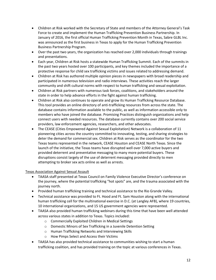- Children at Risk worked with the Secretary of State and members of the Attorney General's Task Force to create and implement the Human Trafficking Prevention Business Partnership. In January of 2016, the first official Human Trafficking Prevention Month in Texas, Sabre GLBL Inc. was announced as the first business in Texas to apply for the Human Trafficking Prevention Business Partnership Program.
- Over the past two years, the organization has reached over 2,000 individuals through trainings and presentations.
- Each year, Children at Risk hosts a statewide Human Trafficking Summit. Each of the summits in the past two years hosted over 100 participants, and key themes included the importance of a protective response for child sex trafficking victims and issues related to addressing demand.
- Children at Risk has authored multiple opinion pieces in newspapers with broad readership and participated in numerous television and radio interviews. These activities reach the larger community and shift cultural norms with respect to human trafficking and sexual exploitation.
- Children at Risk partners with numerous task forces, coalitions, and stakeholders around the state in order to help advance efforts in the fight against human trafficking.
- Children at Risk also continues to operate and grow its Human Trafficking Resource Database. This tool provides an online directory of anti-trafficking resources from across the state. The database contains information available to the public, as well as information accessible only to members who have joined the database. Promising Practices distinguish organizations and help connect users with needed resources. The database currently contains over 200 social service providers, law enforcement agencies, researchers, and other advocates.
- The CEASE (Cities Empowered Against Sexual Exploitation) Network is a collaboration of 11 pioneering cities across the country committed to innovating, testing, and sharing strategies to deter the demand for commercial sex. Children at Risk serves as the coordinator for the two Texas teams represented in the network, CEASE Houston and CEASE North Texas. Since the launch of the initiative, the Texas teams have disrupted well over 7,000 active buyers and provided deterrent and preventative messaging to many more potential buyers. These disruptions consist largely of the use of deterrent messaging provided directly to men attempting to broker sex acts online as well as arrests.

Texas Association Against Sexual Assault

- TAASA staff presented at Texas Council on Family Violence Executive Director's conference on the journey, where the potential trafficking "hot spots" are, and the trauma associated with the journey north.
- Provided human trafficking training and technical assistance to the Rio Grande Valley.
- Technical assistance was provided to Ft. Hood and Ft. Sam Houston along with the international human trafficking cell for the multinational exercise in D.C. (at Langley AFB), where 19 countries, 10 international organizations, and 15 US government agencies were represented.
- TAASA also provided human trafficking webinars during this time that have been well attended across various states in addition to Texas. Topics included:
	- o Commercially Exploited Children in Medical Settings
	- o Domestic Minors of Sex Trafficking in a Juvenile Detention Setting
	- o Human Trafficking Networks and Interviewing Skills
	- o How Pimps Select and Access their Victims
- TAASA has also provided technical assistance to communities wishing to start a human trafficking coalition, and has provided training on the topic at various conferences in Texas.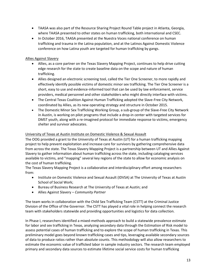- TAASA was also part of the Resource Sharing Project Round Table project in Atlanta, Georgia, where TAASA presented to other states on human trafficking, both international and CSEC.
- In October 2016, TAASA presented at the Nuestra Voces national conference on human trafficking and trauma in the Latina population, and at the Latinos Against Domestic Violence conference on how Latina youth are targeted for human trafficking by gangs.

#### Allies Against Slavery

- Allies, as a core partner on the Texas Slavery Mapping Project, continues to help drive cutting edge research for the state to create baseline data on the scope and nature of human trafficking.
- Allies designed an electronic screening tool, called the Tier One Screener, to more rapidly and effectively identify possible victims of domestic minor sex trafficking. The Tier One Screener is a short, easy to use and evidence-informed tool that can be used by law enforcement, service providers, medical personnel and other stakeholders who might directly interface with victims.
- The Central Texas Coalition Against Human Trafficking adopted the Slave-Free City Network, coordinated by Allies, as its new operating strategy and structure in October 2015.
- The Domestic Minor Sex Trafficking Working Group, a sub-group of the Slave-Free City Network in Austin, is working on pilot programs that include a drop-in center with targeted services for DMST youth, along with a re-imagined protocol for immediate response to victims, emergency shelter and survivor advocates.

#### University of Texas at Austin Institute on Domestic Violence & Sexual Assault

The OOG provided a grant to the University of Texas at Austin (UT) for a human trafficking mapping project to help prevent exploitation and increase care for survivors by gathering comprehensive data from across the state. The Texas Slavery Mapping Project is a partnership between UT and Allies Against Slavery to gather information about human trafficking across the state, including cataloging services available to victims, and "mapping" several key regions of the state to allow for economic analysis on the cost of human trafficking.

The Texas Slavery Mapping Project is a collaborative and interdisciplinary effort among researchers from:

- Institute on Domestic Violence and Sexual Assault (IDVSA) at The University of Texas at Austin School of Social Work;
- Bureau of Business Research at The University of Texas at Austin; and
- Allies Against Slavery *Community Partner*

The team works in collaboration with the Child Sex Trafficking Team (CSTT) at the Criminal Justice Division of the Office of the Governor. The CSTT has played a vital role in helping connect the research team with stakeholders statewide and providing opportunities and logistics for data collection.

In Phase I, researchers identified a mixed-methods approach to build a statewide prevalence estimate for labor and sex trafficking in Texas, analyzing secondary data through the Estimation of Risk model to assess potential cases of human trafficking and to explore the scope of human trafficking in Texas. This preliminary model goes beyond known trafficking cases and tips, leveraging available secondary sources of data to produce ratios rather than absolute counts. This methodology will also allow researchers to estimate the economic value of trafficked labor in sample industry sectors. The research team employed primary and secondary data sources to estimate lifetime social service costs for human trafficking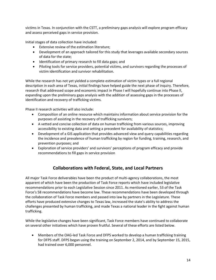victims in Texas. In conjunction with the CSTT, a preliminary gaps analysis will explore program efficacy and assess perceived gaps in service provision.

Initial stages of data collection have included:

- Extensive review of the estimation literature;
- Development of an approach tailored for this study that leverages available secondary sources of data for the state;
- Identification of primary research to fill data gaps; and
- Piloting tools for service providers, potential victims, and survivors regarding the processes of victim identification and survivor rehabilitation.

While the research has not yet yielded a complete estimation of victim types or a full regional description in each area of Texas, initial findings have helped guide the next phase of inquiry. Therefore, research that addressed scope and economic impact in Phase I will hopefully continue into Phase II, expanding upon the preliminary gaps analysis with the addition of assessing gaps in the processes of identification and recovery of trafficking victims.

Phase II research activities will also include:

- Composition of an online resource which maintains information about service provision for the purposes of assisting in the recovery of trafficking survivors;
- A vetted and concise collection of data on human trafficking from various sources, improving accessibility to existing data and setting a precedent for availability of statistics;
- Development of a GIS application that provides advanced view and query capabilities regarding the incidence and prevalence of human trafficking by region for funding, training, research, and prevention purposes; and
- Exploration of service providers' and survivors' perceptions of program efficacy and provide recommendations to fill gaps in service provision

## **Collaborations with Federal, State, and Local Partners**

All major Task Force deliverables have been the product of multi-agency collaborations, the most apparent of which have been the production of Task Force reports which have included legislative recommendations prior to each Legislative Session since 2011. As mentioned earlier, 53 of the Task Force's 58 recommendations have become law. These recommendations have been developed through the collaboration of Task Force members and passed into law by partners in the Legislature. These efforts have produced extensive changes to Texas law, increased the state's ability to address the challenges presented by human trafficking, and made Texas a national leader in the fight against human trafficking.

While the legislative changes have been significant, Task Force members have continued to collaborate on several other initiatives which have proven fruitful. Several of these efforts are listed below.

 Members of the OAG-led Task Force and DFPS worked to develop a human trafficking training for DFPS staff. DFPS began using the training on September 2, 2014, and by September 15, 2015, had trained over 6,000 personnel.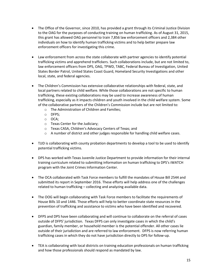- The Office of the Governor, since 2010, has provided a grant through its Criminal Justice Division to the OAG for the purposes of conducting training on human trafficking. As of August 31, 2015, this grant has allowed OAG personnel to train 7,856 law enforcement officers and 2,384 other individuals on how to identify human trafficking victims and to help better prepare law enforcement officers for investigating this crime.
- Law enforcement from across the state collaborate with partner agencies to identify potential trafficking victims and apprehend traffickers. Such collaborations include, but are not limited to, law enforcement officers from DPS, OAG, TPWD, TABC, Federal Bureau of Investigation, United States Border Patrol, United States Coast Guard, Homeland Security Investigations and other local, state, and federal agencies.
- The Children's Commission has extensive collaborative relationships with federal, state, and local partners related to child welfare. While those collaborations are not specific to human trafficking, these existing collaborations may be used to increase awareness of human trafficking, especially as it impacts children and youth involved in the child welfare system. Some of the collaborative partners of the Children's Commission include but are not limited to:
	- o The Administration of Children and Families;
	- o DFPS;
	- o OCA;
	- o Texas Center for the Judiciary;
	- o Texas CASA, Children's Advocacy Centers of Texas; and
	- o A number of district and other judges responsible for handling child welfare cases.
- TJJD is collaborating with county probation departments to develop a tool to be used to identify potential trafficking victims.
- DPS has worked with Texas Juvenile Justice Department to provide information for their internal training curriculum related to submitting information on human trafficking to DPS's iWATCH program with the Joint Crimes Information Center.
- The OCA collaborated with Task Force members to fulfill the mandates of House Bill 2544 and submitted its report in September 2016. These efforts will help address one of the challenges related to human trafficking – collecting and analyzing available data.
- The OOG will begin collaborating with Task Force members to facilitate the requirements of House Bills 10 and 1446. Those efforts will help to better coordinate state resources in the prevention of trafficking and assistance to victims who have been identified and recovered.
- DFPS and DPS have been collaborating and will continue to collaborate on the referral of cases outside of DFPS' jurisdiction. Texas DFPS can only investigate cases in which the child's guardian, family member, or household member is the potential offender. All other cases lie outside of their jurisdiction and are referred to law enforcement. DFPS is now referring human trafficking cases in which they do not have jurisdiction directly to DPS for follow-up.
- TEA is collaborating with local districts on training education professionals on human trafficking and how those professionals should respond as mandated by law.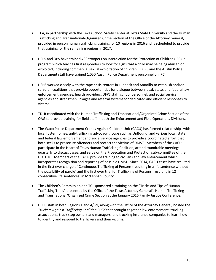- TEA, in partnership with the Texas School Safety Center at Texas State University and the Human Trafficking and Transnational/Organized Crime Section of the Office of the Attorney General, provided in person human trafficking training for 10 regions in 2016 and is scheduled to provide that training for the remaining regions in 2017.
- DFPS and DPS have trained 480 troopers on Interdiction for the Protection of Children (IPC), a program which teaches first responders to look for signs that a child may be being abused or exploited, including commercial sexual exploitation of children. DFPS and the Austin Police Department staff have trained 1,050 Austin Police Department personnel on IPC.
- DSHS worked closely with the rape crisis centers in Lubbock and Amarillo to establish and/or serve on coalitions that provide opportunities for dialogue between local, state, and federal law enforcement agencies, health providers, DFPS staff, school personnel, and social service agencies and strengthen linkages and referral systems for dedicated and efficient responses to victims.
- TDLR coordinated with the Human Trafficking and Transnational/Organized Crime Section of the OAG to provide training for field staff in both the Enforcement and Field Operations Divisions.
- The Waco Police Department Crimes Against Children Unit (CACU) has formed relationships with local foster homes, anti-trafficking advocacy groups such as UnBound, and various local, state, and federal law enforcement and social service agencies to provide a coordinated effort that both seeks to prosecute offenders and protect the victims of DMST. Members of the CACU participate in the Heart of Texas Human Trafficking Coalition, attend roundtable meetings quarterly to discuss cases, and serve on the Prosecution and Protection sub-committee of the HOTHTC. Members of the CACU provide training to civilians and law enforcement which incorporates recognition and reporting of possible DMST. Since 2014, CACU cases have resulted in the first ever charge of Continuous Trafficking of Persons (resulting in a life sentence without the possibility of parole) and the first ever trial for Trafficking of Persons (resulting in 12 consecutive life sentences) in McLennan County.
- The Children's Commission and TCJ sponsored a training on the "Tricks and Tips of Human Trafficking Trials" presented by the Office of the Texas Attorney General's Human Trafficking and Transnational/Organized Crime Section at the January 2016 Family Justice Conference.
- DSHS staff in both Regions 1 and 4/5N, along with the Office of the Attorney General, hosted the *Truckers Against Trafficking Coalition Build* that brought together law enforcement, trucking associations, truck stop owners and managers, and trucking insurance companies to learn how to identify and respond to traffickers and their victims.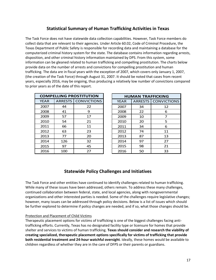## **Statistical Summary of Human Trafficking Activities in Texas**

The Task Force does not have statewide data collection capabilities. However, Task Force members do collect data that are relevant to their agencies. Under Article 60.02, Code of Criminal Procedure, the Texas Department of Public Safety is responsible for recording data and maintaining a database for the computerized criminal history system for the state. The database contains information regarding arrests, disposition, and other criminal history information maintained by DPS. From this system, some information can be gleaned related to human trafficking and compelling prostitution. The charts below provide data on the number of arrests and convictions for compelling prostitution and human trafficking. The data are in fiscal years with the exception of 2007, which covers only January 1, 2007, (the creation of the Task Force) through August 31, 2007. It should be noted that cases from recent years, especially 2016, may be ongoing, thus producing a relatively low number of convictions compared to prior years as of the date of this report.

| <b>COMPELLING PROSTITUTION</b> |     |                              |
|--------------------------------|-----|------------------------------|
| <b>YFAR</b>                    |     | <b>ARRESTS   CONVICTIONS</b> |
| 2007                           | 44  | 22                           |
| 2008                           | 41  | 9                            |
| 2009                           | 57  | 17                           |
| 2010                           | 54  | 21                           |
| 2011                           | 66  | 11                           |
| 2012                           | 63  | 23                           |
| 2013                           | 77  | 20                           |
| 2014                           | 126 | 32                           |
| 2015                           | 97  | 45                           |
| 2016                           | 100 | 27                           |

| <b>HUMAN TRAFFICKING</b> |    |                            |
|--------------------------|----|----------------------------|
| <b>YEAR</b>              |    | <b>ARRESTS</b> CONVICTIONS |
| 2007                     | 34 | 12                         |
| 2008                     | 22 | 6                          |
| 2009                     | 10 | 7                          |
| 2010                     | 20 | 5                          |
| 2011                     | 34 | 6                          |
| 2012                     | 74 | 11                         |
| 2013                     | 87 | 13                         |
| 2014                     | 97 | 27                         |
| 2015                     | 98 | 21                         |
| 2016                     | 50 | 33                         |

## **Statewide Policy Challenges and Initiatives**

The Task Force and other entities have continued to identify challenges related to human trafficking. While many of these issues have been addressed, others remain. To address these many challenges, continued collaboration between federal, state, and local agencies, along with nongovernmental organizations and other interested parties is needed. Some of the challenges require legislative changes; however, many issues can be addressed through policy decisions. Below is a list of issues which should be further explored to determine if policy changes are needed, and if so, what those changes should be.

#### Protection and Placement of Child Victims

Therapeutic placement options for victims of trafficking is one of the biggest challenges facing antitrafficking efforts. Currently, Texas has no designated facility type or licensure for homes that provide shelter and services to victims of human trafficking. **Texas should consider and research the viability of creating specialized, therapeutic placement options specifically for victims of trafficking that provide both residential treatment and 24-hour watchful oversight**. Ideally, these homes would be available to children regardless of whether they are in the care of DFPS or their parents or guardians.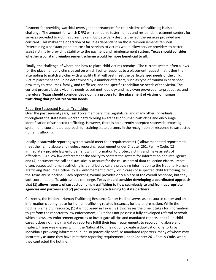Payment for providing watchful oversight and treatment for child victims of trafficking is also a challenge. The amount for which DFPS will reimburse foster homes and residential treatment centers for services provided to victims currently can fluctuate daily despite the fact the services provided are constant. This makes the operation of facilities dependent on those reimbursements tenuous. Determining a constant per diem cost for services to victims would allow service providers to better assist victims by providing stability to the payment and reimbursement system. **Texas should consider whether a constant reimbursement scheme would be more beneficial to all.** 

Finally, the challenge of where and how to place child victims remains. The current system often allows for the placement of victims based on which facility responds to a placement request first rather than attempting to match a victim with a facility that will best meet the particularized needs of the child. Victim placement should be determined by a number of factors, such as type of trauma experienced; proximity to resources, family, and trafficker; and the specific rehabilitative needs of the victim. The current process lacks a victim's needs-based methodology and may even prove counterproductive, and therefore, **Texas should consider developing a process for the placement of victims of human trafficking that prioritizes victim needs.**

#### Reporting Suspected Human Trafficking

Over the past several years, Task Force members, the Legislature, and many other individuals throughout the state have worked hard to bring awareness of human trafficking and encourage identification of suspected trafficking. However, there is no currently accepted statewide reporting system or a coordinated approach for training state partners in the recognition or response to suspected human trafficking.

Ideally, a statewide reporting system would meet four requirements: (1) allow mandated reporters to meet their child abuse and neglect reporting requirement under Chapter 261, Family Code, (2) immediately provide law enforcement with information to protect victims and make arrests of offenders, (3) allow law enforcement the ability to contact the system for information and intelligence, and (4) document the call and statistically account for the call as part of data collection efforts. Most often, suspected human trafficking is identified by callers providing information to the National Human Trafficking Resource Hotline, to law enforcement directly, or in cases of suspected child trafficking, to the Texas abuse hotline. Each reporting avenue provides only a piece of the overall response, but they lack coordination. To address this challenge, **Texas should consider developing a coordinated approach that (1) allows reports of suspected human trafficking to flow seamlessly to and from appropriate agencies and partners and (2) provides appropriate training to state partners.**

Currently, the National Human Trafficking Resource Center Hotline serves as a resource center and an information clearinghouse for human trafficking related instances for the entire nation. While the hotline is a helpful resource, (1) it is not based in Texas, (2) it increases the time it takes for information to get from the reporter to law enforcement, (3) it does not possess a fully developed referral network which allows law enforcement agencies to investigate all tips and mandated reports, and (4) in child cases it does not help mandated reporters fulfill their legal requirements to report child abuse and neglect. These weaknesses within the National Hotline not only create a duplication of efforts by individuals providing information, but also potentially confuse mandated reporters, many of whom may incorrectly assume they have met their reporting requirement under Chapter 261, Family Code, when they contacted the hotline.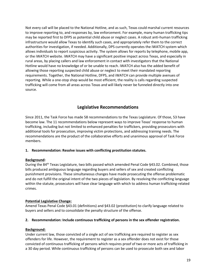Not every call will be placed to the National Hotline, and as such, Texas could marshal current resources to improve reporting to, and responses by, law enforcement. For example, many human trafficking tips may be reported first to DFPS as potential child abuse or neglect cases. A robust anti-human trafficking infrastructure would allow Texas to identify such cases, and appropriately refer them to the correct authorities for investigation, if needed. Additionally, DPS currently operates the iWATCH system which allows individuals to report suspicious activity. The system allows for reports by telephone, mobile app, or the iWATCH website. iWATCH may have a significant positive impact across Texas, and especially in rural areas, by placing callers and law enforcement in contact with investigators that the National Hotline would have no knowledge of or be unable to reach. iWATCH also has the added benefit of allowing those reporting suspected child abuse or neglect to meet their mandated reporting requirements. Together, the National Hotline, DFPS, and iWATCH can provide multiple avenues of reporting. While a one-stop shop would be most efficient, the reality is calls regarding suspected trafficking will come from all areas across Texas and will likely never be funneled directly into one source.

## **Legislative Recommendations**

Since 2011, the Task Force has made 58 recommendations to the Texas Legislature. Of those, 53 have become law. The 11 recommendations below represent ways to improve Texas' response to human trafficking, including but not limited to enhanced penalties for traffickers, providing prosecutors with additional tools for prosecution, improving victim protections, and addressing training needs. The recommendations are the product of the collaborative efforts and unanimous approval of Task Force members.

#### **1. Recommendation: Resolve issues with conflicting prostitution statutes.**

#### **Background:**

During the 84<sup>th</sup> Texas Legislature, two bills passed which amended Penal Code §43.02. Combined, those bills produced ambiguous language regarding buyers and sellers of sex and created conflicting punishment provisions. These simultaneous changes have made prosecuting the offense problematic and do not fulfill the original intent of the two pieces of legislation. By resolving the conflicting language within the statute, prosecutors will have clear language with which to address human trafficking-related crimes.

#### **Potential Legislative Change:**

Amend Texas Penal Code §43.01 (definitions) and §43.02 (prostitution) to clarify language related to buyers and sellers and to consolidate the penalty structure of the offense.

#### **2. Recommendation: Include continuous trafficking of persons in the sex offender registration.**

#### **Background:**

Under current law, those convicted of a single act of sex trafficking are required to register as sex offenders for life. However, the requirement to register as a sex offender does not exist for those convicted of continuous trafficking of persons which requires proof of two or more acts of trafficking in a 30 day period. While continuous trafficking of persons can be used to prosecute both sex and labor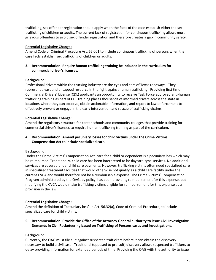trafficking, sex offender registration should apply when the facts of the case establish either the sex trafficking of children or adults. The current lack of registration for continuous trafficking allows more grievous offenders to avoid sex offender registration and therefore creates a gap in community safety.

#### **Potential Legislative Change:**

Amend Code of Criminal Procedure Art. 62.001 to include continuous trafficking of persons when the case facts establish sex trafficking of children or adults.

#### **3. Recommendation: Require human trafficking training be included in the curriculum for commercial driver's licenses.**

#### **Background:**

Professional drivers within the trucking industry are the eyes and ears of Texas roadways. They represent a vast and untapped resource in the fight against human trafficking. Providing first time Commercial Drivers' License (CDL) applicants an opportunity to receive Task Force approved anti-human trafficking training as part of CDL training places thousands of informed drivers across the state in locations where they can observe, obtain actionable information, and report to law enforcement to effectively prevent or engage in the early intervention and rescue of trafficking victims.

#### **Potential Legislative Change:**

Amend the regulatory structure for career schools and community colleges that provide training for commercial driver's licenses to require human trafficking training as part of the curriculum.

#### **4. Recommendation: Amend pecuniary losses for child victims under the Crime Victims Compensation Act to include specialized care.**

#### **Background:**

Under the Crime Victims' Compensation Act, care for a child or dependent is a pecuniary loss which may be reimbursed. Traditionally, child care has been interpreted to be daycare-type services. No additional services are covered under child care payments. However, trafficking victims often need specialized care in specialized treatment facilities that would otherwise not qualify as a child care facility under the current CVCA and would therefore not be a reimbursable expense. The Crime Victims' Compensation Program administered by the OAG, by policy, has been providing reimbursement for this expense, but modifying the CVCA would make trafficking victims eligible for reimbursement for this expense as a provision in the law.

#### **Potential Legislative Change:**

Amend the definition of "pecuniary loss" in Art. 56.32(a), Code of Criminal Procedure, to include specialized care for child victims.

**5. Recommendation: Provide the Office of the Attorney General authority to issue Civil Investigative Demands in Civil Racketeering based on Trafficking of Persons cases and investigations.**

#### **Background:**

Currently, the OAG must file suit against suspected traffickers before it can obtain the discovery necessary to build a civil case. Traditional (opposed to pre-suit) discovery allows suspected traffickers to delay providing information for extended periods of time. Providing the OAG with the authority to issue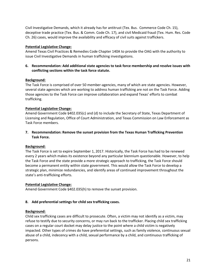Civil Investigative Demands, which it already has for antitrust (Tex. Bus. Commerce Code Ch. 15), deceptive trade practice (Tex. Bus. & Comm. Code Ch. 17), and civil Medicaid fraud (Tex. Hum. Res. Code Ch. 26) cases, would improve the availability and efficacy of civil suits against traffickers.

#### **Potential Legislative Change:**

Amend Texas Civil Practices & Remedies Code Chapter 140A to provide the OAG with the authority to issue Civil Investigative Demands in human trafficking investigations.

#### **6. Recommendation: Add additional state agencies to task force membership and resolve issues with conflicting sections within the task force statute.**

#### **Background:**

The Task Force is comprised of over 50 member-agencies, many of which are state agencies. However, several state agencies which are working to address human trafficking are not on the Task Force. Adding those agencies to the Task Force can improve collaboration and expand Texas' efforts to combat trafficking.

#### **Potential Legislative Change:**

Amend Government Code §402.035(c) and (d) to include the Secretary of State, Texas Department of Licensing and Regulation, Office of Court Administration, and Texas Commission on Law Enforcement as Task Force members.

**7. Recommendation: Remove the sunset provision from the Texas Human Trafficking Prevention Task Force.**

#### **Background:**

The Task Force is set to expire September 1, 2017. Historically, the Task Force has had to be renewed every 2 years which makes its existence beyond any particular biennium questionable. However, to help the Task Force and the state provide a more strategic approach to trafficking, the Task Force should become a permanent entity within state government. This would allow the Task Force to develop a strategic plan, minimize redundancies, and identify areas of continued improvement throughout the state's anti-trafficking efforts.

#### **Potential Legislative Change:**

Amend Government Code §402.035(h) to remove the sunset provision.

#### **8. Add preferential settings for child sex trafficking cases.**

#### **Background:**

Child sex trafficking cases are difficult to prosecute. Often, a victim may not identify as a victim, may refuse to testify due to security concerns, or may run back to the trafficker. Placing child sex trafficking cases on a regular court docket may delay justice to the point where a child victim is negatively impacted. Other types of crimes do have preferential settings, such as family violence, continuous sexual abuse of a child, indecency with a child, sexual performance by a child, and continuous trafficking of persons.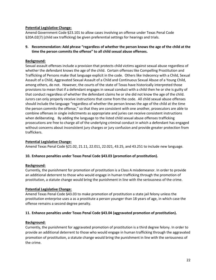#### **Potential Legislative Change:**

Amend Government Code §23.101 to allow cases involving an offense under Texas Penal Code §20A.02(7) (child sex trafficking) be given preferential settings for hearings and trials.

#### **9. Recommendation: Add phrase "regardless of whether the person knows the age of the child at the time the person commits the offense" to all child sexual abuse offenses.**

#### **Background:**

Sexual assault offenses include a provision that protects child victims against sexual abuse regardless of whether the defendant knows the age of the child. Certain offenses like Compelling Prostitution and Trafficking of Persons make that language explicit in the code. Others like Indecency with a Child, Sexual Assault of a Child, Aggravated Sexual Assault of a Child and Continuous Sexual Abuse of a Young Child, among others, do not. However, the courts of the state of Texas have historically interpreted those provisions to mean that if a defendant engages in sexual conduct with a child then he or she is guilty of that conduct regardless of whether the defendant claims he or she did not know the age of the child. Jurors can only properly receive instructions that come from the code. All child sexual abuse offenses should include the language "regardless of whether the person knows the age of the child at the time the person commits the offense," so that they are consistent with one another, prosecutors are able to combine offenses in single indictments as appropriate and juries can receive consistent instructions when deliberating. By adding the language to the listed child sexual abuse offenses trafficking prosecutions are free to charge all of the underlying criminal conduct in which a defendant has engaged without concerns about inconsistent jury charges or jury confusion and provide greater protection from traffickers.

#### **Potential Legislative Change:**

Amend Texas Penal Code §21.02, 21.11, 22.011, 22.021, 43.25, and 43.251 to include new language.

#### **10. Enhance penalties under Texas Penal Code §43.03 (promotion of prostitution).**

#### **Background:**

Currently, the punishment for promotion of prostitution is a Class A misdemeanor. In order to provide an additional deterrent to those who would engage in human trafficking through the promotion of prostitution, a statute change would bring the punishment in line with the seriousness of the crime.

#### **Potential Legislative Change:**

Amend Texas Penal Code §43.03 to make promotion of prostitution a state jail felony unless the prostitution enterprise uses a as a prostitute a person younger than 18 years of age, in which case the offense remains a second degree penalty.

#### **11. Enhance penalties under Texas Penal Code §43.04 (aggravated promotion of prostitution).**

#### **Background:**

Currently, the punishment for aggravated promotion of prostitution is a third degree felony. In order to provide an additional deterrent to those who would engage in human trafficking through the aggravated promotion of prostitution, a statute change would bring the punishment in line with the seriousness of the crime.